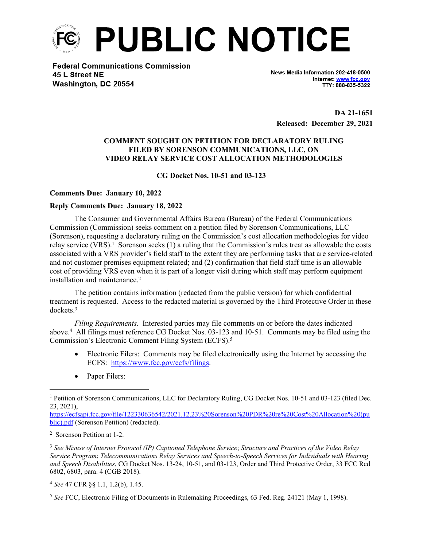

**Federal Communications Commission** 45 L Street NE Washington, DC 20554

News Media Information 202-418-0500 Internet: www.fcc.gov TTY: 888-835-5322

**DA 21-1651 Released: December 29, 2021**

# **COMMENT SOUGHT ON PETITION FOR DECLARATORY RULING FILED BY SORENSON COMMUNICATIONS, LLC, ON VIDEO RELAY SERVICE COST ALLOCATION METHODOLOGIES**

### **CG Docket Nos. 10-51 and 03-123**

#### **Comments Due: January 10, 2022**

#### **Reply Comments Due: January 18, 2022**

The Consumer and Governmental Affairs Bureau (Bureau) of the Federal Communications Commission (Commission) seeks comment on a petition filed by Sorenson Communications, LLC (Sorenson), requesting a declaratory ruling on the Commission's cost allocation methodologies for video relay service (VRS).<sup>1</sup> Sorenson seeks (1) a ruling that the Commission's rules treat as allowable the costs associated with a VRS provider's field staff to the extent they are performing tasks that are service-related and not customer premises equipment related; and (2) confirmation that field staff time is an allowable cost of providing VRS even when it is part of a longer visit during which staff may perform equipment installation and maintenance.<sup>2</sup>

The petition contains information (redacted from the public version) for which confidential treatment is requested. Access to the redacted material is governed by the Third Protective Order in these dockets<sup>3</sup>

*Filing Requirements.* Interested parties may file comments on or before the dates indicated above.<sup>4</sup> All filings must reference CG Docket Nos. 03-123 and 10-51. Comments may be filed using the Commission's Electronic Comment Filing System (ECFS).<sup>5</sup>

- Electronic Filers: Comments may be filed electronically using the Internet by accessing the ECFS: [https://www.fcc.gov/ecfs/filings.](https://www.fcc.gov/ecfs/filings)
- Paper Filers:

[https://ecfsapi.fcc.gov/file/122330636542/2021.12.23%20Sorenson%20PDR%20re%20Cost%20Allocation%20\(pu](https://ecfsapi.fcc.gov/file/122330636542/2021.12.23%20Sorenson%20PDR%20re%20Cost%20Allocation%20(public).pdf) [blic\).pdf](https://ecfsapi.fcc.gov/file/122330636542/2021.12.23%20Sorenson%20PDR%20re%20Cost%20Allocation%20(public).pdf) (Sorenson Petition) (redacted).

2 Sorenson Petition at 1-2.

<sup>3</sup> *See Misuse of Internet Protocol (IP) Captioned Telephone Service*; *Structure and Practices of the Video Relay Service Program*; *Telecommunications Relay Services and Speech-to-Speech Services for Individuals with Hearing and Speech Disabilities*, CG Docket Nos. 13-24, 10-51, and 03-123, Order and Third Protective Order, 33 FCC Rcd 6802, 6803, para. 4 (CGB 2018).

<sup>4</sup> *See* 47 CFR §§ 1.1, 1.2(b), 1.45.

<sup>5</sup> *See* FCC, Electronic Filing of Documents in Rulemaking Proceedings, 63 Fed. Reg. 24121 (May 1, 1998).

<sup>&</sup>lt;sup>1</sup> Petition of Sorenson Communications, LLC for Declaratory Ruling, CG Docket Nos. 10-51 and 03-123 (filed Dec. 23, 2021),